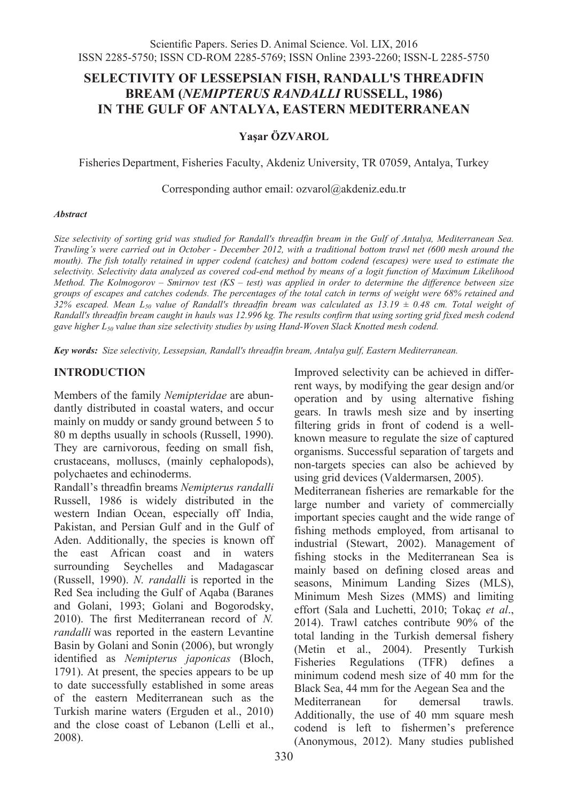# **SELECTIVITY OF LESSEPSIAN FISH, RANDALL'S THREADFIN BREAM (***NEMIPTERUS RANDALLI* **RUSSELL, 1986) IN THE GULF OF ANTALYA, EASTERN MEDITERRANEAN**

#### **Yaşar ÖZVAROL**

Fisheries Department, Fisheries Faculty, Akdeniz University, TR 07059, Antalya, Turkey

Corresponding author email: ozvarol@akdeniz.edu.tr

#### *Abstract*

*Size selectivity of sorting grid was studied for Randall's threadfin bream in the Gulf of Antalya, Mediterranean Sea. Trawling's were carried out in October - December 2012, with a traditional bottom trawl net (600 mesh around the mouth*). The fish totally retained in upper codend (catches) and bottom codend (escapes) were used to estimate the *selectivity. Selectivity data analyzed as covered cod-end method by means of a logit function of Maximum Likelihood Method. The Kolmogorov – Smirnov test (KS – test) was applied in order to determine the difference between size groups of escapes and catches codends. The percentages of the total catch in terms of weight were 68% retained and 32% escaped. Mean L50 value of Randall's threadfin bream was calculated as 13.19 ± 0.48 cm. Total weight of Randall's threadfin bream caught in hauls was 12.996 kg. The results confirm that using sorting grid fixed mesh codend*  gave higher L<sub>50</sub> value than size selectivity studies by using Hand-Woven Slack Knotted mesh codend.

*Key words: Size selectivity, Lessepsian, Randall's threadfin bream, Antalya gulf, Eastern Mediterranean.*

#### **INTRODUCTION**

Members of the family *Nemipteridae* are abundantly distributed in coastal waters, and occur mainly on muddy or sandy ground between 5 to 80 m depths usually in schools (Russell, 1990). They are carnivorous, feeding on small fish, crustaceans, molluscs, (mainly cephalopods), polychaetes and echinoderms.

Randall's threadfin breams *Nemipterus randalli*  Russell, 1986 is widely distributed in the western Indian Ocean, especially off India, Pakistan, and Persian Gulf and in the Gulf of Aden. Additionally, the species is known off the east African coast and in waters surrounding Seychelles and Madagascar (Russell, 1990). *N. randalli* is reported in the Red Sea including the Gulf of Aqaba (Baranes and Golani, 1993; Golani and Bogorodsky, 2010). The first Mediterranean record of *N. randalli* was reported in the eastern Levantine Basin by Golani and Sonin (2006), but wrongly identified as *Nemipterus japonicas* (Bloch, 1791). At present, the species appears to be up to date successfully established in some areas of the eastern Mediterranean such as the Turkish marine waters (Erguden et al., 2010) and the close coast of Lebanon (Lelli et al., 2008).

Improved selectivity can be achieved in differrent ways, by modifying the gear design and/or operation and by using alternative fishing gears. In trawls mesh size and by inserting filtering grids in front of codend is a wellknown measure to regulate the size of captured organisms. Successful separation of targets and non-targets species can also be achieved by using grid devices (Valdermarsen, 2005).

Mediterranean fisheries are remarkable for the large number and variety of commercially important species caught and the wide range of fishing methods employed, from artisanal to industrial (Stewart, 2002). Management of fishing stocks in the Mediterranean Sea is mainly based on defining closed areas and seasons, Minimum Landing Sizes (MLS), Minimum Mesh Sizes (MMS) and limiting effort (Sala and Luchetti, 2010; Tokaç *et al*., 2014). Trawl catches contribute 90% of the total landing in the Turkish demersal fishery (Metin et al., 2004). Presently Turkish Fisheries Regulations (TFR) defines a minimum codend mesh size of 40 mm for the Black Sea, 44 mm for the Aegean Sea and the Mediterranean for demersal trawls. Additionally, the use of 40 mm square mesh codend is left to fishermen's preference (Anonymous, 2012). Many studies published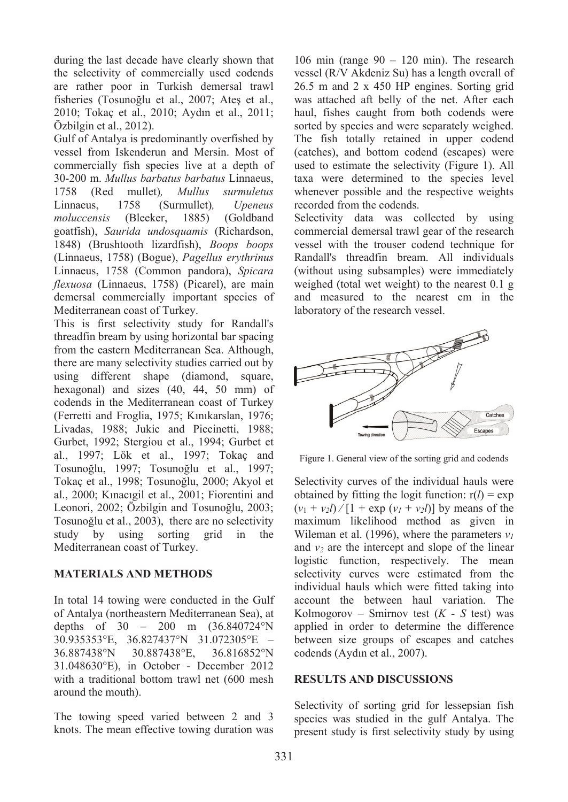during the last decade have clearly shown that the selectivity of commercially used codends are rather poor in Turkish demersal trawl fisheries (Tosunoğlu et al., 2007; Ateş et al., 2010; Tokaç et al., 2010; Aydın et al., 2011; Özbilgin et al., 2012).

Gulf of Antalya is predominantly overfished by vessel from Iskenderun and Mersin. Most of commercially fish species live at a depth of 30-200 m. *Mullus barbatus barbatus* Linnaeus, 1758 (Red mullet)*, Mullus surmuletus* Linnaeus, 1758 (Surmullet)*, Upeneus moluccensis* (Bleeker, 1885) (Goldband goatfish), *Saurida undosquamis* (Richardson, 1848) (Brushtooth lizardfish), *Boops boops* (Linnaeus, 1758) (Bogue), *Pagellus erythrinus*  Linnaeus, 1758 (Common pandora), *Spicara flexuosa* (Linnaeus, 1758) (Picarel), are main demersal commercially important species of Mediterranean coast of Turkey.

This is first selectivity study for Randall's threadfin bream by using horizontal bar spacing from the eastern Mediterranean Sea. Although, there are many selectivity studies carried out by using different shape (diamond, square, hexagonal) and sizes (40, 44, 50 mm) of codends in the Mediterranean coast of Turkey (Ferretti and Froglia, 1975; Kınıkarslan, 1976; Livadas, 1988; Jukic and Piccinetti, 1988; Gurbet, 1992; Stergiou et al., 1994; Gurbet et al., 1997; Lök et al., 1997; Tokaç and Tosunoğlu, 1997; Tosunoğlu et al., 1997; Tokaç et al., 1998; Tosunoğlu, 2000; Akyol et al., 2000; Kınacıgil et al., 2001; Fiorentini and Leonori, 2002; Özbilgin and Tosunoğlu, 2003; Tosunoğlu et al., 2003), there are no selectivity study by using sorting grid in the Mediterranean coast of Turkey.

### **MATERIALS AND METHODS**

In total 14 towing were conducted in the Gulf of Antalya (northeastern Mediterranean Sea), at depths of 30 – 200 m (36.840724°N 30.935353°E, 36.827437°N 31.072305°E – 36.887438°N 30.887438°E, 36.816852°N 31.048630°E), in October - December 2012 with a traditional bottom trawl net (600 mesh around the mouth).

The towing speed varied between 2 and 3 knots. The mean effective towing duration was

106 min (range  $90 - 120$  min). The research vessel (R/V Akdeniz Su) has a length overall of 26.5 m and 2 x 450 HP engines. Sorting grid was attached aft belly of the net. After each haul, fishes caught from both codends were sorted by species and were separately weighed. The fish totally retained in upper codend (catches), and bottom codend (escapes) were used to estimate the selectivity (Figure 1). All taxa were determined to the species level whenever possible and the respective weights recorded from the codends.

Selectivity data was collected by using commercial demersal trawl gear of the research vessel with the trouser codend technique for Randall's threadfin bream. All individuals (without using subsamples) were immediately weighed (total wet weight) to the nearest 0.1 g and measured to the nearest cm in the laboratory of the research vessel.



Figure 1. General view of the sorting grid and codends

Selectivity curves of the individual hauls were obtained by fitting the logit function:  $r(l) = \exp$  $(v_1 + v_2 l) / [1 + \exp(v_1 + v_2 l)]$  by means of the maximum likelihood method as given in Wileman et al. (1996), where the parameters  $v_l$ and  $v_2$  are the intercept and slope of the linear logistic function, respectively. The mean selectivity curves were estimated from the individual hauls which were fitted taking into account the between haul variation. The Kolmogorov – Smirnov test  $(K - S$  test) was applied in order to determine the difference between size groups of escapes and catches codends (Aydın et al., 2007).

### **RESULTS AND DISCUSSIONS**

Selectivity of sorting grid for lessepsian fish species was studied in the gulf Antalya. The present study is first selectivity study by using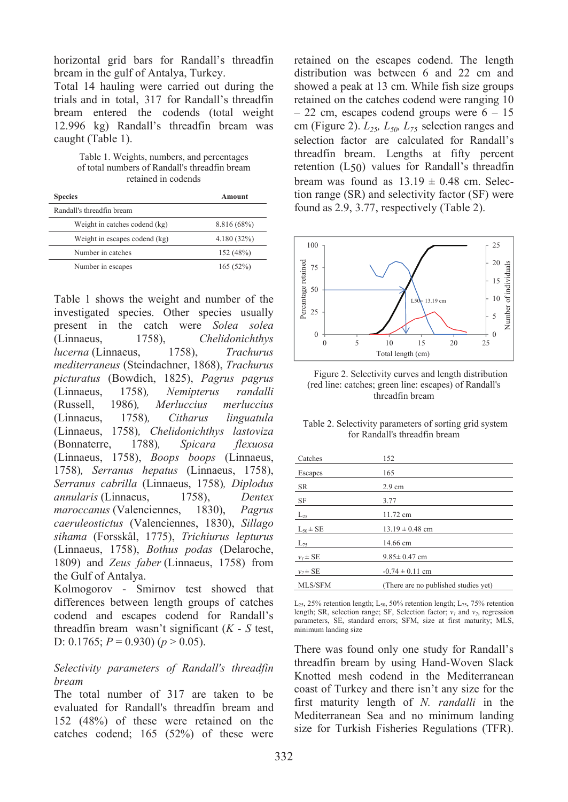horizontal grid bars for Randall's threadfin bream in the gulf of Antalya, Turkey.

Total 14 hauling were carried out during the trials and in total, 317 for Randall's threadfin bream entered the codends (total weight 12.996 kg) Randall's threadfin bream was caught (Table 1).

Table 1. Weights, numbers, and percentages of total numbers of Randall's threadfin bream retained in codends

| <b>Species</b>                | Amount      |
|-------------------------------|-------------|
| Randall's threadfin bream     |             |
| Weight in catches codend (kg) | 8.816 (68%) |
| Weight in escapes codend (kg) | 4.180(32%)  |
| Number in catches             | 152 (48%)   |
| Number in escapes             | 165(52%)    |

Table 1 shows the weight and number of the investigated species. Other species usually present in the catch were *Solea solea* (Linnaeus, 1758), *Chelidonichthys lucerna* (Linnaeus, 1758), *Trachurus mediterraneus* (Steindachner, 1868), *Trachurus picturatus* (Bowdich, 1825), *Pagrus pagrus*  (Linnaeus, 1758)*, Nemipterus randalli*  (Russell, 1986)*, Merluccius merluccius*  (Linnaeus, 1758)*, Citharus linguatula*  (Linnaeus, 1758)*, Chelidonichthys lastoviza*  (Bonnaterre, 1788)*, Spicara flexuosa*  (Linnaeus, 1758), *Boops boops* (Linnaeus, 1758)*, Serranus hepatus* (Linnaeus, 1758), *Serranus cabrilla* (Linnaeus, 1758)*, Diplodus annularis* (Linnaeus, 1758), *Dentex maroccanus* (Valenciennes, 1830), *Pagrus caeruleostictus* (Valenciennes, 1830), *Sillago sihama* (Forsskål, 1775), *Trichiurus lepturus* (Linnaeus, 1758), *Bothus podas* (Delaroche, 1809) and *Zeus faber* (Linnaeus, 1758) from the Gulf of Antalya.

Kolmogorov - Smirnov test showed that differences between length groups of catches codend and escapes codend for Randall's threadfin bream wasn't significant (*K - S* test, D:  $0.1765$ ;  $P = 0.930$ ) ( $p > 0.05$ ).

### *Selectivity parameters of Randall's threadfin bream*

The total number of 317 are taken to be evaluated for Randall's threadfin bream and 152 (48%) of these were retained on the catches codend; 165 (52%) of these were retained on the escapes codend. The length distribution was between 6 and 22 cm and showed a peak at 13 cm. While fish size groups retained on the catches codend were ranging 10  $-22$  cm, escapes codend groups were  $6 - 15$ cm (Figure 2).  $L_{25}$ ,  $L_{50}$ ,  $L_{75}$  selection ranges and selection factor are calculated for Randall's threadfin bream. Lengths at fifty percent retention (L50) values for Randall's threadfin bream was found as  $13.19 \pm 0.48$  cm. Selection range (SR) and selectivity factor (SF) were found as 2.9, 3.77, respectively (Table 2).



Figure 2. Selectivity curves and length distribution (red line: catches; green line: escapes) of Randall's threadfin bream

| Table 2. Selectivity parameters of sorting grid system |  |
|--------------------------------------------------------|--|
| for Randall's threadfin bream                          |  |

| Catches         | 152                                  |
|-----------------|--------------------------------------|
| Escapes         | 165                                  |
| SR              | $2.9 \text{ cm}$                     |
| SF              | 3.77                                 |
| $L_{25}$        | 11.72 cm                             |
| $L_{50} \pm SE$ | $13.19 \pm 0.48$ cm                  |
| $L_{75}$        | 14.66 cm                             |
| $v_1 \pm SE$    | $9.85 \pm 0.47$ cm                   |
| $v, \pm SE$     | $-0.74 \pm 0.11$ cm                  |
| MLS/SFM         | (There are no published studies yet) |

 $L_{25}$ , 25% retention length;  $L_{50}$ , 50% retention length;  $L_{75}$ , 75% retention length; SR, selection range; SF, Selection factor;  $v_1$  and  $v_2$ , regression parameters, SE, standard errors; SFM, size at first maturity; MLS, minimum landing size

There was found only one study for Randall's threadfin bream by using Hand-Woven Slack Knotted mesh codend in the Mediterranean coast of Turkey and there isn't any size for the first maturity length of *N. randalli* in the Mediterranean Sea and no minimum landing size for Turkish Fisheries Regulations (TFR).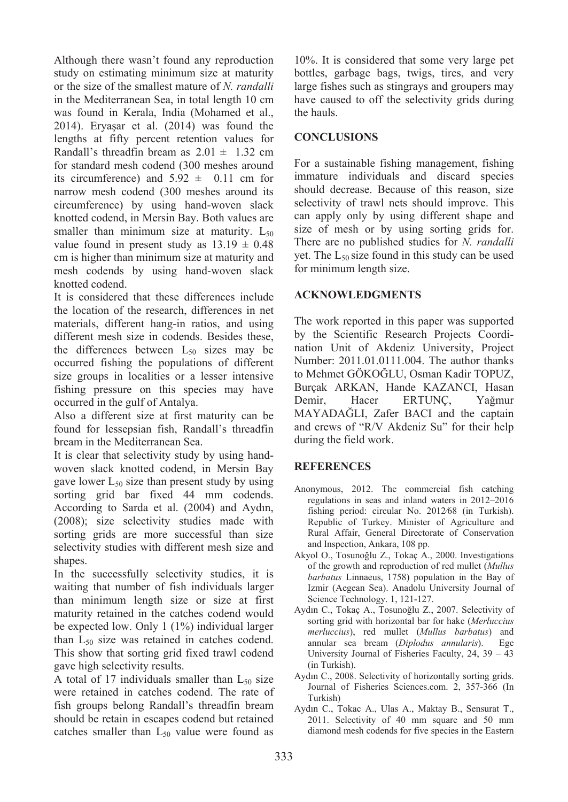Although there wasn't found any reproduction study on estimating minimum size at maturity or the size of the smallest mature of *N. randalli* in the Mediterranean Sea, in total length 10 cm was found in Kerala, India (Mohamed et al., 2014). Eryaşar et al. (2014) was found the lengths at fifty percent retention values for Randall's threadfin bream as  $2.01 \pm 1.32$  cm for standard mesh codend (300 meshes around its circumference) and  $5.92 \pm 0.11$  cm for narrow mesh codend (300 meshes around its circumference) by using hand-woven slack knotted codend, in Mersin Bay. Both values are smaller than minimum size at maturity.  $L_{50}$ value found in present study as  $13.19 \pm 0.48$ cm is higher than minimum size at maturity and mesh codends by using hand-woven slack knotted codend.

It is considered that these differences include the location of the research, differences in net materials, different hang-in ratios, and using different mesh size in codends. Besides these, the differences between  $L_{50}$  sizes may be occurred fishing the populations of different size groups in localities or a lesser intensive fishing pressure on this species may have occurred in the gulf of Antalya.

Also a different size at first maturity can be found for lessepsian fish, Randall's threadfin bream in the Mediterranean Sea.

It is clear that selectivity study by using handwoven slack knotted codend, in Mersin Bay gave lower  $L_{50}$  size than present study by using sorting grid bar fixed 44 mm codends. According to Sarda et al. (2004) and Aydın, (2008); size selectivity studies made with sorting grids are more successful than size selectivity studies with different mesh size and shapes.

In the successfully selectivity studies, it is waiting that number of fish individuals larger than minimum length size or size at first maturity retained in the catches codend would be expected low. Only 1 (1%) individual larger than L<sub>50</sub> size was retained in catches codend. This show that sorting grid fixed trawl codend gave high selectivity results.

A total of 17 individuals smaller than  $L_{50}$  size were retained in catches codend. The rate of fish groups belong Randall's threadfin bream should be retain in escapes codend but retained catches smaller than  $L_{50}$  value were found as

10%. It is considered that some very large pet bottles, garbage bags, twigs, tires, and very large fishes such as stingrays and groupers may have caused to off the selectivity grids during the hauls.

## **CONCLUSIONS**

For a sustainable fishing management, fishing immature individuals and discard species should decrease. Because of this reason, size selectivity of trawl nets should improve. This can apply only by using different shape and size of mesh or by using sorting grids for. There are no published studies for *N. randalli* yet. The  $L_{50}$  size found in this study can be used for minimum length size.

# **ACKNOWLEDGMENTS**

The work reported in this paper was supported by the Scientific Research Projects Coordination Unit of Akdeniz University, Project Number: 2011.01.0111.004. The author thanks to Mehmet GÖKOĞLU, Osman Kadir TOPUZ, Burçak ARKAN, Hande KAZANCI, Hasan Demir, Hacer ERTUNÇ, Yağmur MAYADAĞLI, Zafer BACI and the captain and crews of "R/V Akdeniz Su" for their help during the field work.

### **REFERENCES**

- Anonymous, 2012. The commercial fish catching regulations in seas and inland waters in 2012–2016 fishing period: circular No. 2012⁄68 (in Turkish). Republic of Turkey. Minister of Agriculture and Rural Affair, General Directorate of Conservation and Inspection, Ankara, 108 pp.
- Akyol O., Tosunoğlu Z., Tokaç A., 2000. Investigations of the growth and reproduction of red mullet (*Mullus barbatus* Linnaeus, 1758) population in the Bay of Izmir (Aegean Sea). Anadolu University Journal of Science Technology. 1, 121-127.
- Aydın C., Tokaç A., Tosunoğlu Z., 2007. Selectivity of sorting grid with horizontal bar for hake (*Merluccius merluccius*), red mullet (*Mullus barbatus*) and annular sea bream (*Diplodus annularis*). Ege University Journal of Fisheries Faculty, 24, 39 – 43 (in Turkish).
- Aydın C., 2008. Selectivity of horizontally sorting grids. Journal of Fisheries Sciences.com. 2, 357-366 (In Turkish)
- Aydın C., Tokac A., Ulas A., Maktay B., Sensurat T., 2011. Selectivity of 40 mm square and 50 mm diamond mesh codends for five species in the Eastern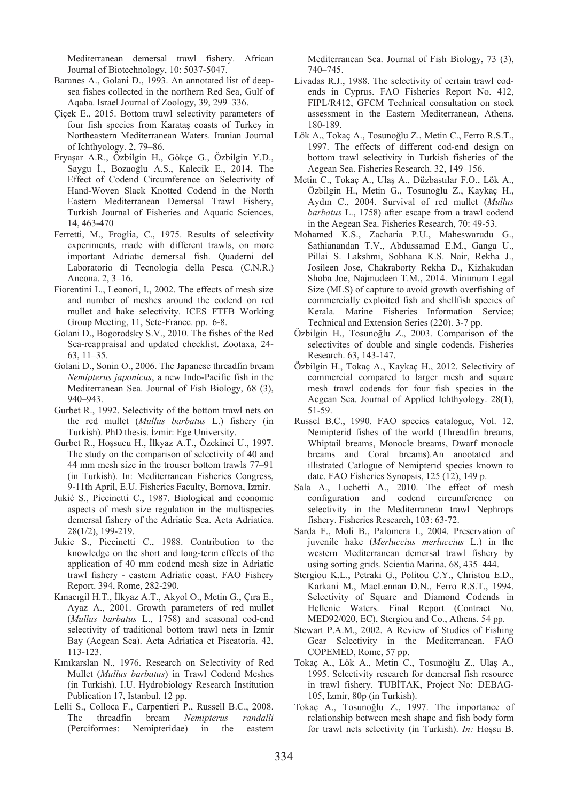Mediterranean demersal trawl fishery. African Journal of Biotechnology, 10: 5037-5047.

- Baranes A., Golani D., 1993. An annotated list of deepsea fishes collected in the northern Red Sea, Gulf of Aqaba. Israel Journal of Zoology, 39, 299–336.
- Çiçek E., 2015. Bottom trawl selectivity parameters of four fish species from Karataş coasts of Turkey in Northeastern Mediterranean Waters. Iranian Journal of Ichthyology. 2, 79–86.
- Eryaşar A.R., Özbilgin H., Gökçe G., Özbilgin Y.D., Saygu İ., Bozaoğlu A.S., Kalecik E., 2014. The Effect of Codend Circumference on Selectivity of Hand-Woven Slack Knotted Codend in the North Eastern Mediterranean Demersal Trawl Fishery, Turkish Journal of Fisheries and Aquatic Sciences, 14, 463-470
- Ferretti, M., Froglia, C., 1975. Results of selectivity experiments, made with different trawls, on more important Adriatic demersal fish. Quaderni del Laboratorio di Tecnologia della Pesca (C.N.R.) Ancona. 2, 3–16.
- Fiorentini L., Leonori, I., 2002. The effects of mesh size and number of meshes around the codend on red mullet and hake selectivity. ICES FTFB Working Group Meeting, 11, Sete-France. pp. 6-8.
- Golani D., Bogorodsky S.V., 2010. The fishes of the Red Sea-reappraisal and updated checklist. Zootaxa, 24- 63, 11–35.
- Golani D., Sonin O., 2006. The Japanese threadfin bream *Nemipterus japonicus*, a new Indo-Pacific fish in the Mediterranean Sea. Journal of Fish Biology, 68 (3), 940–943.
- Gurbet R., 1992. Selectivity of the bottom trawl nets on the red mullet (*Mullus barbatus* L.) fishery (in Turkish). PhD thesis. İzmir: Ege University.
- Gurbet R., Hoşsucu H., İlkyaz A.T., Özekinci U., 1997. The study on the comparison of selectivity of 40 and 44 mm mesh size in the trouser bottom trawls 77–91 (in Turkish). In: Mediterranean Fisheries Congress, 9-11th April, E.U. Fisheries Faculty, Bornova, Izmir.
- Jukić S., Piccinetti C., 1987. Biological and economic aspects of mesh size regulation in the multispecies demersal fishery of the Adriatic Sea. Acta Adriatica. 28(1/2), 199-219.
- Jukic S., Piccinetti C., 1988. Contribution to the knowledge on the short and long-term effects of the application of 40 mm codend mesh size in Adriatic trawl fishery - eastern Adriatic coast. FAO Fishery Report. 394, Rome, 282-290.
- Kınacıgil H.T., İlkyaz A.T., Akyol O., Metin G., Çıra E., Ayaz A., 2001. Growth parameters of red mullet (*Mullus barbatus* L., 1758) and seasonal cod-end selectivity of traditional bottom trawl nets in Izmir Bay (Aegean Sea). Acta Adriatica et Piscatoria. 42, 113-123.
- Kınıkarslan N., 1976. Research on Selectivity of Red Mullet (*Mullus barbatus*) in Trawl Codend Meshes (in Turkish). I.U. Hydrobiology Research Institution Publication 17, Istanbul. 12 pp.
- Lelli S., Colloca F., Carpentieri P., Russell B.C., 2008. The threadfin bream *Nemipterus randalli*  (Perciformes: Nemipteridae) in the eastern

Mediterranean Sea. Journal of Fish Biology, 73 (3), 740–745.

- Livadas R.J., 1988. The selectivity of certain trawl codends in Cyprus. FAO Fisheries Report No. 412, FIPL/R412, GFCM Technical consultation on stock assessment in the Eastern Mediterranean, Athens. 180-189.
- Lök A., Tokac A., Tosunoğlu Z., Metin C., Ferro R.S.T., 1997. The effects of different cod-end design on bottom trawl selectivity in Turkish fisheries of the Aegean Sea. Fisheries Research. 32, 149–156.
- Metin C., Tokaç A., Ulaş A., Düzbastılar F.O., Lök A., Özbilgin H., Metin G., Tosunoğlu Z., Kaykaç H., Aydın C., 2004. Survival of red mullet (*Mullus barbatus* L., 1758) after escape from a trawl codend in the Aegean Sea. Fisheries Research, 70: 49-53.
- Mohamed K.S., Zacharia P.U., Maheswarudu G., Sathianandan T.V., Abdussamad E.M., Ganga U., Pillai S. Lakshmi, Sobhana K.S. Nair, Rekha J., Josileen Jose, Chakraborty Rekha D., Kizhakudan Shoba Joe, Najmudeen T.M., 2014. Minimum Legal Size (MLS) of capture to avoid growth overfishing of commercially exploited fish and shellfish species of Kerala*.* Marine Fisheries Information Service; Technical and Extension Series (220). 3-7 pp.
- Özbilgin H., Tosunoğlu Z., 2003. Comparison of the selectivites of double and single codends. Fisheries Research. 63, 143-147.
- Özbilgin H., Tokaç A., Kaykaç H., 2012. Selectivity of commercial compared to larger mesh and square mesh trawl codends for four fish species in the Aegean Sea. Journal of Applied Ichthyology. 28(1), 51-59.
- Russel B.C., 1990. FAO species catalogue, Vol. 12. Nemipterid fishes of the world (Threadfin breams, Whiptail breams, Monocle breams, Dwarf monocle breams and Coral breams).An anootated and illistrated Catlogue of Nemipterid species known to date. FAO Fisheries Synopsis, 125 (12), 149 p.
- Sala A., Luchetti A., 2010. The effect of mesh configuration and codend circumference on selectivity in the Mediterranean trawl Nephrops fishery. Fisheries Research, 103: 63-72.
- Sarda F., Moli B., Palomera I., 2004. Preservation of juvenile hake (*Merluccius merluccius* L.) in the western Mediterranean demersal trawl fishery by using sorting grids. Scientia Marina. 68, 435–444.
- Stergiou K.L., Petraki G., Politou C.Y., Christou E.D., Karkani M., MacLennan D.N., Ferro R.S.T., 1994. Selectivity of Square and Diamond Codends in Hellenic Waters. Final Report (Contract No. MED92/020, EC), Stergiou and Co., Athens. 54 pp.
- Stewart P.A.M., 2002. A Review of Studies of Fishing Gear Selectivity in the Mediterranean. FAO COPEMED, Rome, 57 pp.
- Tokaç A., Lök A., Metin C., Tosunoğlu Z., Ulaş A., 1995. Selectivity research for demersal fish resource in trawl fishery. TUBİTAK, Project No: DEBAG-105, Izmir, 80p (in Turkish).
- Tokaç A., Tosunoğlu Z., 1997. The importance of relationship between mesh shape and fish body form for trawl nets selectivity (in Turkish). *In:* Hoşsu B.